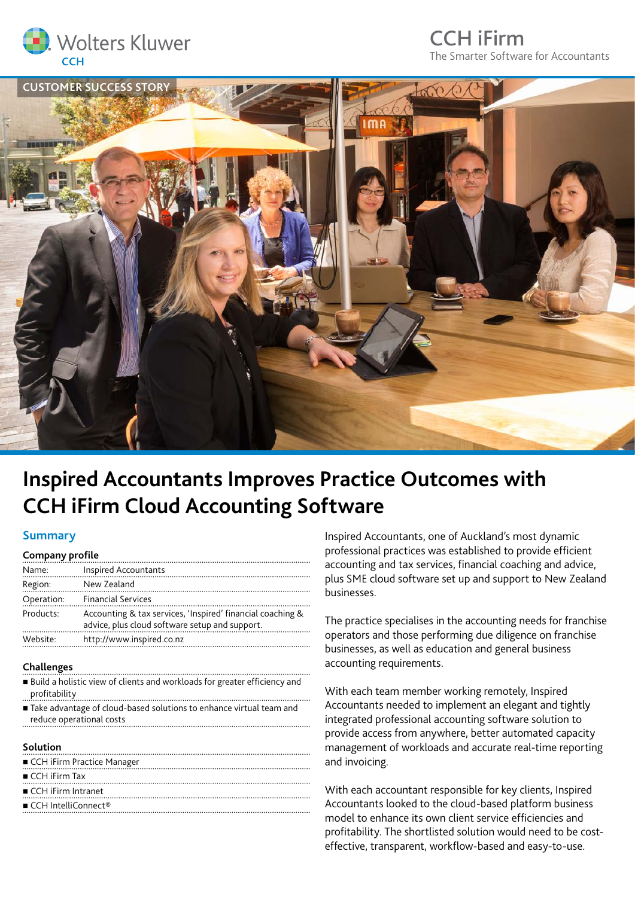

## CCH iFirm The Smarter Software for Accountants



# **Inspired Accountants Improves Practice Outcomes with CCH iFirm Cloud Accounting Software**

#### **Summary**

| <b>Company profile</b> |                                                                                                              |
|------------------------|--------------------------------------------------------------------------------------------------------------|
| Name:                  | Inspired Accountants                                                                                         |
| Region:                | New Zealand                                                                                                  |
| Operation:             | <b>Financial Services</b>                                                                                    |
| Products:              | Accounting & tax services, 'Inspired' financial coaching &<br>advice, plus cloud software setup and support. |
| Website:               | http://www.inspired.co.nz                                                                                    |

#### **Challenges**

- Build a holistic view of clients and workloads for greater efficiency and profitability
- Take advantage of cloud-based solutions to enhance virtual team and reduce operational costs

#### **Solution**

| CCH iFirm Practice Manager                     |
|------------------------------------------------|
| $\blacksquare$ CCH iFirm Tax                   |
| $\blacksquare$ CCH iFirm Intranet              |
| $\blacksquare$ CCH IntelliConnect <sup>®</sup> |
|                                                |

Inspired Accountants, one of Auckland's most dynamic professional practices was established to provide efficient accounting and tax services, financial coaching and advice, plus SME cloud software set up and support to New Zealand businesses.

The practice specialises in the accounting needs for franchise operators and those performing due diligence on franchise businesses, as well as education and general business accounting requirements.

With each team member working remotely, Inspired Accountants needed to implement an elegant and tightly integrated professional accounting software solution to provide access from anywhere, better automated capacity management of workloads and accurate real-time reporting and invoicing.

With each accountant responsible for key clients, Inspired Accountants looked to the cloud-based platform business model to enhance its own client service efficiencies and profitability. The shortlisted solution would need to be costeffective, transparent, workflow-based and easy-to-use.